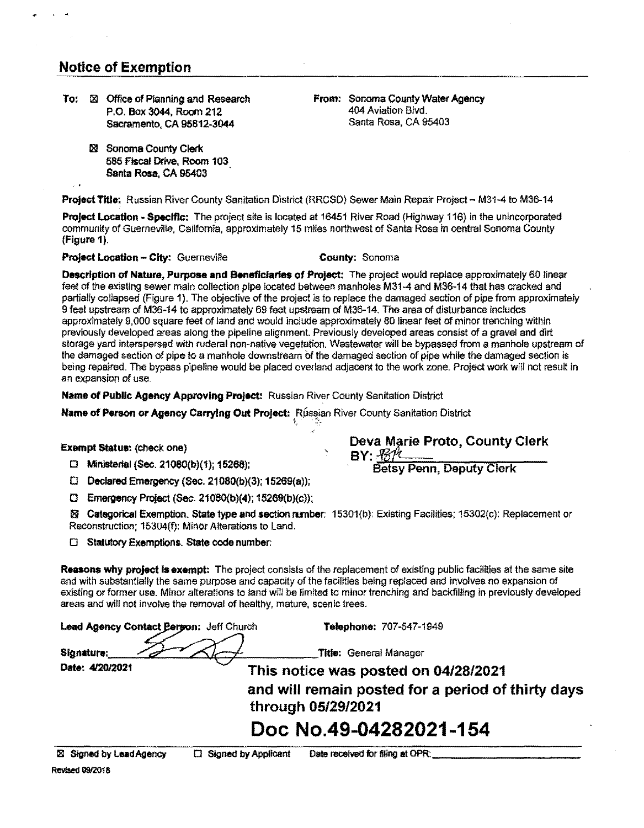## **Notice** of Exemption

- To:  $\boxtimes$  Office of Planning and Research From: Sonoma County Water Agency<br>P.O. Box 3044, Room 212 404 Aviation Blvd. P.O. Box 3044, Room 212 404 Aviation Blvd. Sacramento, CA 95812-3044
	- 181 Sonoma County Clerk 585 Fiscal Drive, Room 103 Santa Rosa, CA 95403

**Project Title: Russian River County Sanitation District (RRCSD) Sewer Main Repair Project - M31-4 to M36-14** 

**Project Location• Specific:** The project site is located at 16451 River Road (Highway 116) in the unincorporated community of Guerneville, California, approximately 15 miles northwest of Santa Rosa in central Sonoma County (Figure 1).

### **Project Location - City: Guerneville <b>County: County: Sonoma**

**Description of Nature, Purpose and Beneflclartas of Project:** The project would replace approximately 60 linear feet of the existing sewer main collection pipe located between manholes M31-4 and M36-14 that has cracked and partially collapsed (Figure 1). The objective of the project is to replace the damaged section of pipe from approximately 9 feet upstream of M36-14 to approximately 69 feet upstream of M36-14. The area of disturbance includes approximately 9,000 square feet of land and would include approximately 80 linear feet of minor trenching within previously developed areas along the pipeline alignment. Previously developed areas consist of a gravel and dirt storage yard interspersed with ruderal non-native vegetation. Wastewater will be bypassed from a manhole upstream of the damaged section of pipe to a manhole downstream of the damaged section of pipe while the damaged section is being repaired. The bypass pipeline would be placed overland adjacent to the work zone. Project work will not result in an expansion of use.

**Name of Public Agency Approving Project:** Russian River County Santtation District

**Name of Person or Agency Carrying Out Project: Russian River County Sanitation District** 

## **Exempt Status: (check one) Deva Marie Proto, County Clerk** *Deva Marie Proto, County Clerk*

**BY:**  $\frac{\mathcal{H}}{\mathcal{B}}$ <br>□ Ministerial (Sec. 21080(b)(1); 15268); BY: Betsy Penn, Deputy Clerk

□ **Declared Emergency (Sec. 21080(b)(3); 15269(a));** 

□ **Emergency Project (Sec. 21080(b)(4); 15269(b){c));** 

~ **Categorical Exemption. State lype end section runber:** 15301(b): Existing Facilities; 15302(c): Replacement or Reconstruction; 15304(f): Minor Alterations to Land.

D **Statutory Exemptions. State code number:** 

**Reasons why project** Is **exempt:** The project consists of the replacement of existing public facilities at the same site and with substantially the same purpose and capacity of the facilities being replaced and involves no expansion of existing or former use. Minor alterations to land will be limited to minor trenching and backfilling in previously developed areas and wlll not involve the removal of healthy, mature, scenic trees.

**Lead Agency Contact Person:** Jeff Church **Telephone:** 707-547-1949

Signature: and a set of the seneral Manager<br>Date: 4/20/2021 This notice was nosted or This notice was posted on 04/28/2021

> **and will remain posted for a period of thirty days through 05/29/2021**

# **Doc No.49-04282021-154**

**Revised 09/2018** 

<sup>181</sup>Signed by LeadAgency □ Signed by Applioant Date received for filing at OPR:\_\_\_\_\_\_\_\_\_\_\_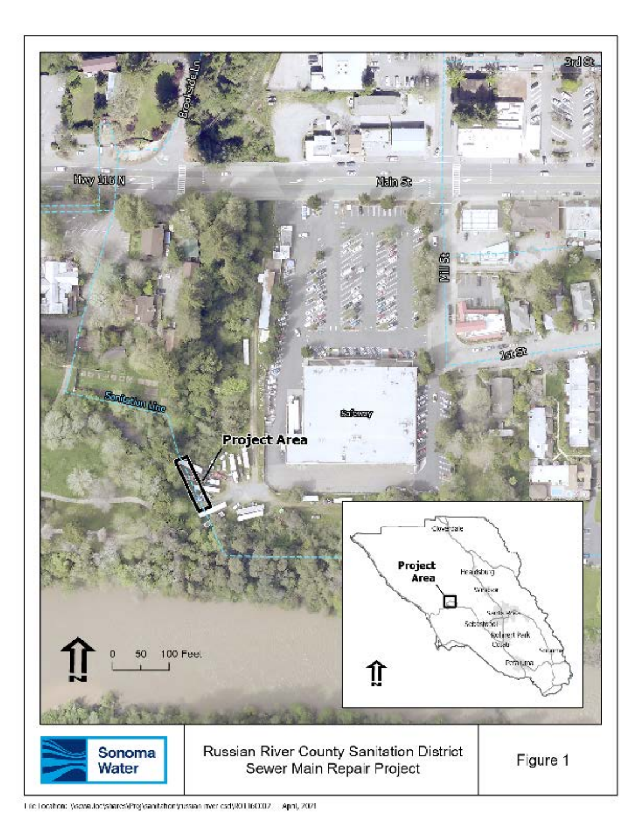

Life Location: \/sowa.loc/shares\Proj\sanitabor\russian mericad\IKO16CO02 April, 2021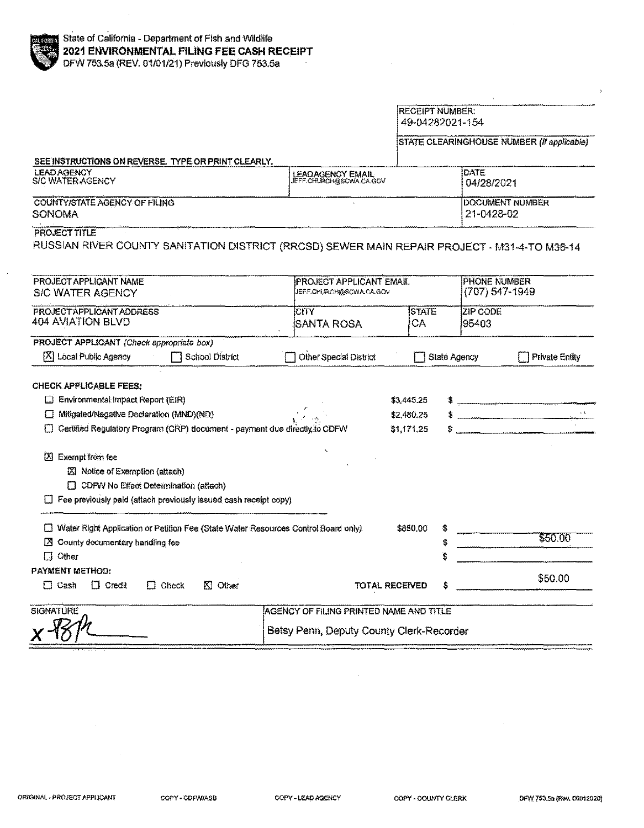#### RECEIPT NUMBER: 49-04282021-154

## STATE CLEARINGHOUSE NUMBER (If applicable)

#### SEE INSTRUCTIONS ON REVERSE. TYPE OR PRINT CLEARLY.

| <b>LEAD AGENCY</b><br>S/C WATER AGENCY | <b>LEADAGENCY EMAIL</b><br>LIEFF CHURCH@SCWA.CA.GOV | <b>IDATE</b><br>04/28/2021 |
|----------------------------------------|-----------------------------------------------------|----------------------------|
| COUNTY/STATE AGENCY OF FILING          | <b>DOCUMENT NUMBER</b>                              |                            |
| SONOMA                                 |                                                     | 21-0428-02                 |

#### PROJECT TITLE

RUSSIAN RIVER COUNTY SANITATION DISTRICT (RRCSD) SEWER MAIN REPAIR PROJECT - M31-4-TO M36-14

| PROJECT APPLICANT NAME<br><b>S/C WATER AGENCY</b>                                                                                                                          |                                          | IPROJECT APPLICANT EMAIL<br><b>JEFF.CHURCH@SCWA.CA.GOV</b> |              | <b>PHONE NUMBER</b><br>(707) 547-1949 |                               |
|----------------------------------------------------------------------------------------------------------------------------------------------------------------------------|------------------------------------------|------------------------------------------------------------|--------------|---------------------------------------|-------------------------------|
| PROJECT APPLICANT ADDRESS<br>404 AVIATION BLVD                                                                                                                             | <b>CITY</b><br>ISANTA ROSA               | <b>ISTATE</b><br>CA                                        |              | <b>ZIP CODE</b><br>195403             |                               |
| PROJECT APPLICANT (Check appropriate box)                                                                                                                                  |                                          |                                                            |              |                                       |                               |
| 区 Local Public Agency<br>□ School District                                                                                                                                 | Other Special District                   |                                                            | State Agency |                                       | <b>Private Entity</b>         |
| CHECK APPLICABLE FEES:                                                                                                                                                     |                                          |                                                            |              |                                       |                               |
| $\Box$ Environmental impact Report (EIR)                                                                                                                                   |                                          | \$3,445.25                                                 |              |                                       |                               |
| Mitigated/Negative Declaration (MND)(ND)<br>IJ                                                                                                                             |                                          | \$2,480.25                                                 |              |                                       | $\mathbf{x} \in \mathbb{R}^d$ |
| Certified Regulatory Program (CRP) document - payment due directly to CDFW                                                                                                 |                                          | \$1,171,25                                                 |              |                                       |                               |
| ×<br>Exempt from fee<br>■ Notice of Exemption (attach)<br>$\Box$ CDFW No Effect Determination (attach)<br>Fee previously paid (attach previously issued cash receipt copy) |                                          |                                                            |              |                                       |                               |
| Water Right Application or Petition Fee (State Water Resources Control Board only)                                                                                         |                                          | \$850.00                                                   |              |                                       |                               |
| County documentary handling fee<br><b>EX</b>                                                                                                                               |                                          |                                                            |              |                                       | \$50.00                       |
| $\Box$<br>Other                                                                                                                                                            |                                          |                                                            |              |                                       |                               |
| <b>PAYMENT METHOD:</b>                                                                                                                                                     |                                          |                                                            |              |                                       | \$50.00                       |
| $\Box$ Cash<br>$\Box$ Credit<br>$K1$ Other<br>Check<br>$\Box$                                                                                                              |                                          | <b>TOTAL RECEIVED</b>                                      |              |                                       |                               |
| <b>SIGNATURE</b>                                                                                                                                                           | AGENCY OF FILING PRINTED NAME AND TITLE  |                                                            |              |                                       |                               |
|                                                                                                                                                                            | Betsy Penn, Deputy County Clerk-Recorder |                                                            |              |                                       |                               |